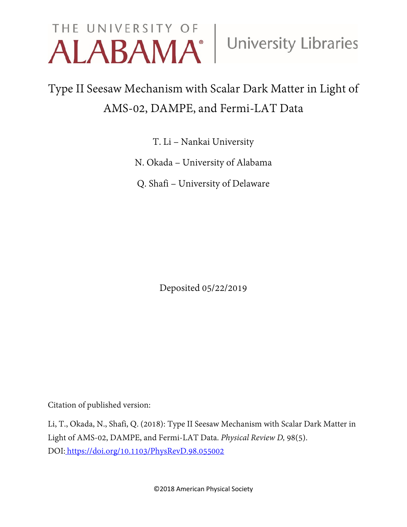# THE UNIVERSITY OF University Libraries

## Type II Seesaw Mechanism with Scalar Dark Matter in Light of AMS-02, DAMPE, and Fermi-LAT Data

T. Li – Nankai University

N. Okada – University of Alabama

Q. Shafi – University of Delaware

Deposited 05/22/2019

Citation of published version:

Li, T., Okada, N., Shafi, Q. (2018): Type II Seesaw Mechanism with Scalar Dark Matter in Light of AMS-02, DAMPE, and Fermi-LAT Data. *Physical Review D,* 98(5). DOI: <https://doi.org/10.1103/PhysRevD.98.055002>

©2018 American Physical Society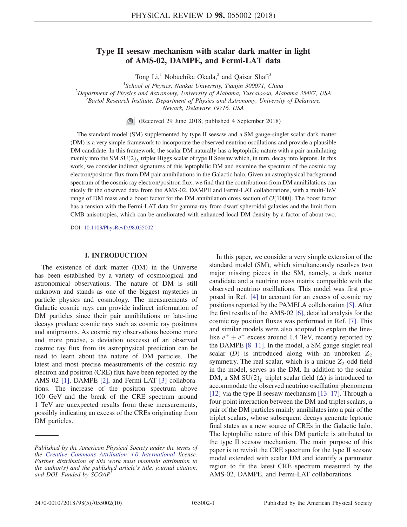### Type II seesaw mechanism with scalar dark matter in light of AMS-02, DAMPE, and Fermi-LAT data

Tong Li,<sup>1</sup> Nobuchika Okada,<sup>2</sup> and Qaisar Shafi<sup>3</sup>

<sup>1</sup>School of Physics, Nankai University, Tianiin 300071, China 2 Department of Physics and Astronomy, University of Alabama, Tuscaloosa, Alabama 35487, USA

<sup>3</sup> Bartol Research Institute, Department of Physics and Astronomy, University of Delaware,

Newark, Delaware 19716, USA

(Received 29 June 2018; published 4 September 2018)

The standard model (SM) supplemented by type II seesaw and a SM gauge-singlet scalar dark matter (DM) is a very simple framework to incorporate the observed neutrino oscillations and provide a plausible DM candidate. In this framework, the scalar DM naturally has a leptophilic nature with a pair annihilating mainly into the SM  $SU(2)_L$  triplet Higgs scalar of type II Seesaw which, in turn, decay into leptons. In this work, we consider indirect signatures of this leptophilic DM and examine the spectrum of the cosmic ray electron/positron flux from DM pair annihilations in the Galactic halo. Given an astrophysical background spectrum of the cosmic ray electron/positron flux, we find that the contributions from DM annihilations can nicely fit the observed data from the AMS-02, DAMPE and Fermi-LAT collaborations, with a multi-TeV range of DM mass and a boost factor for the DM annihilation cross section of  $\mathcal{O}(1000)$ . The boost factor has a tension with the Fermi-LAT data for gamma-ray from dwarf spheroidal galaxies and the limit from CMB anisotropies, which can be ameliorated with enhanced local DM density by a factor of about two.

DOI: [10.1103/PhysRevD.98.055002](https://doi.org/10.1103/PhysRevD.98.055002)

#### I. INTRODUCTION

The existence of dark matter (DM) in the Universe has been established by a variety of cosmological and astronomical observations. The nature of DM is still unknown and stands as one of the biggest mysteries in particle physics and cosmology. The measurements of Galactic cosmic rays can provide indirect information of DM particles since their pair annihilations or late-time decays produce cosmic rays such as cosmic ray positrons and antiprotons. As cosmic ray observations become more and more precise, a deviation (excess) of an observed cosmic ray flux from its astrophysical prediction can be used to learn about the nature of DM particles. The latest and most precise measurements of the cosmic ray electron and positron (CRE) flux have been reported by the AMS-02 [\[1\]](#page-8-0), DAMPE [\[2\],](#page-8-1) and Fermi-LAT [\[3\]](#page-8-2) collaborations. The increase of the positron spectrum above 100 GeV and the break of the CRE spectrum around 1 TeV are unexpected results from these measurements, possibly indicating an excess of the CREs originating from DM particles.

In this paper, we consider a very simple extension of the standard model (SM), which simultaneously resolves two major missing pieces in the SM, namely, a dark matter candidate and a neutrino mass matrix compatible with the observed neutrino oscillations. This model was first proposed in Ref. [\[4\]](#page-8-3) to account for an excess of cosmic ray positions reported by the PAMELA collaboration [\[5\]](#page-8-4). After the first results of the AMS-02 [\[6\]](#page-8-5), detailed analysis for the cosmic ray position fluxes was performed in Ref. [\[7\]](#page-8-6). This and similar models were also adopted to explain the linelike  $e^+ + e^-$  excess around 1.4 TeV, recently reported by the DAMPE [8–[11\]](#page-8-7). In the model, a SM gauge-singlet real scalar (D) is introduced along with an unbroken  $Z_2$ symmetry. The real scalar, which is a unique  $Z_2$ -odd field in the model, serves as the DM. In addition to the scalar DM, a SM  $SU(2)_L$  triplet scalar field ( $\Delta$ ) is introduced to accommodate the observed neutrino oscillation phenomena [\[12\]](#page-9-0) via the type II seesaw mechanism [\[13](#page-9-1)–17]. Through a four-point interaction between the DM and triplet scalars, a pair of the DM particles mainly annihilates into a pair of the triplet scalars, whose subsequent decays generate leptonic final states as a new source of CREs in the Galactic halo. The leptophilic nature of this DM particle is attributed to the type II seesaw mechanism. The main purpose of this paper is to revisit the CRE spectrum for the type II seesaw model extended with scalar DM and identify a parameter region to fit the latest CRE spectrum measured by the AMS-02, DAMPE, and Fermi-LAT collaborations.

Published by the American Physical Society under the terms of the [Creative Commons Attribution 4.0 International](https://creativecommons.org/licenses/by/4.0/) license. Further distribution of this work must maintain attribution to the author(s) and the published article's title, journal citation, and DOI. Funded by SCOAP<sup>3</sup>.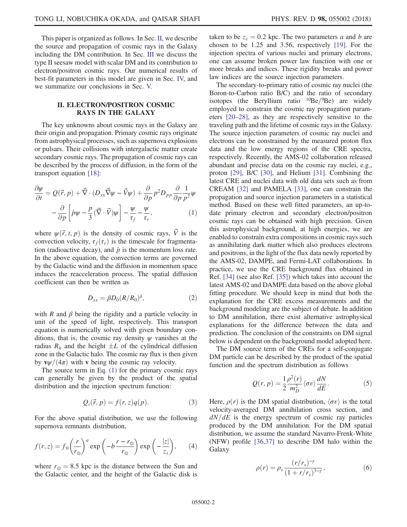This paper is organized as follows. In Sec. [II,](#page-2-0) we describe the source and propagation of cosmic rays in the Galaxy including the DM contribution. In Sec. [III](#page-3-0) we discuss the type II seesaw model with scalar DM and its contribution to electron/positron cosmic rays. Our numerical results of best-fit parameters in this model are given in Sec. [IV,](#page-4-0) and we summarize our conclusions in Sec. [V.](#page-8-8)

#### <span id="page-2-0"></span>II. ELECTRON/POSITRON COSMIC RAYS IN THE GALAXY

The key unknowns about cosmic rays in the Galaxy are their origin and propagation. Primary cosmic rays originate from astrophysical processes, such as supernova explosions or pulsars. Their collisions with intergalactic matter create secondary cosmic rays. The propagation of cosmic rays can be described by the process of diffusion, in the form of the transport equation [\[18\]](#page-9-2):

<span id="page-2-1"></span>
$$
\frac{\partial \psi}{\partial t} = Q(\vec{r}, p) + \vec{\nabla} \cdot (D_{xx}\vec{\nabla}\psi - \vec{V}\psi) + \frac{\partial}{\partial p} p^2 D_{pp} \frac{\partial}{\partial p} \frac{1}{p^2} \psi \n- \frac{\partial}{\partial p} \left[ \dot{p}\psi - \frac{p}{3} (\vec{\nabla} \cdot \vec{V}) \psi \right] - \frac{\psi}{\tau_f} - \frac{\psi}{\tau_r},
$$
\n(1)

where  $\psi(\vec{r}, t, p)$  is the density of cosmic rays,  $\vec{V}$  is the convection velocity,  $\tau_f(\tau_r)$  is the timescale for fragmentation (radioactive decay), and  $\dot{p}$  is the momentum loss rate. In the above equation, the convection terms are governed by the Galactic wind and the diffusion in momentum space induces the reacceleration process. The spatial diffusion coefficient can then be written as

$$
D_{xx} = \beta D_0 (R/R_0)^{\delta}, \qquad (2)
$$

with R and  $\beta$  being the rigidity and a particle velocity in unit of the speed of light, respectively. This transport equation is numerically solved with given boundary conditions, that is, the cosmic ray density  $\psi$  vanishes at the radius  $R_h$  and the height  $\pm L$  of the cylindrical diffusion zone in the Galactic halo. The cosmic ray flux is then given by  $\mathbf{v}\psi/(4\pi)$  with v being the cosmic ray velocity.

The source term in Eq.  $(1)$  for the primary cosmic rays can generally be given by the product of the spatial distribution and the injection spectrum function:

$$
Q_i(\vec{r}, p) = f(r, z)q(p). \tag{3}
$$

For the above spatial distribution, we use the following supernova remnants distribution,

$$
f(r,z) = f_0 \left(\frac{r}{r_{\odot}}\right)^a \exp\left(-b\frac{r-r_{\odot}}{r_{\odot}}\right) \exp\left(-\frac{|z|}{z_s}\right),\qquad(4)
$$

where  $r_{\odot} = 8.5$  kpc is the distance between the Sun and the Galactic center, and the height of the Galactic disk is taken to be  $z_s = 0.2$  kpc. The two parameters a and b are chosen to be 1.25 and 3.56, respectively [\[19\].](#page-9-3) For the injection spectra of various nuclei and primary electrons, one can assume broken power law function with one or more breaks and indices. These rigidity breaks and power law indices are the source injection parameters.

The secondary-to-primary ratio of cosmic ray nuclei (the Boron-to-Carbon ratio B/C) and the ratio of secondary isotopes (the Beryllium ratio  $^{10}$ Be $/^{9}$ Be) are widely employed to constrain the cosmic ray propagation parameters [\[20](#page-9-4)–28], as they are respectively sensitive to the traveling path and the lifetime of cosmic rays in the Galaxy. The source injection parameters of cosmic ray nuclei and electrons can be constrained by the measured proton flux data and the low energy regions of the CRE spectra, respectively. Recently, the AMS-02 collaboration released abundant and precise data on the cosmic ray nuclei, e.g., proton [\[29\],](#page-9-5) B/C [\[30\]](#page-9-6), and Helium [\[31\].](#page-9-7) Combining the latest CRE and nuclei data with old data sets such as from CREAM [\[32\]](#page-9-8) and PAMELA [\[33\]](#page-9-9), one can constrain the propagation and source injection parameters in a statistical method. Based on these well fitted parameters, an up-todate primary electron and secondary electron/positron cosmic rays can be obtained with high precision. Given this astrophysical background, at high energies, we are enabled to constrain extra compositions in cosmic rays such as annihilating dark matter which also produces electrons and positrons, in the light of the flux data newly reported by the AMS-02, DAMPE, and Fermi-LAT collaborations. In practice, we use the CRE background flux obtained in Ref. [\[34\]](#page-9-10) (see also Ref. [\[35\]](#page-9-11)) which takes into account the latest AMS-02 and DAMPE data based on the above global fitting procedure. We should keep in mind that both the explanation for the CRE excess measurements and the background modeling are the subject of debate. In addition to DM annihilation, there exist alternative astrophysical explanations for the difference between the data and prediction. The conclusion of the constraints on DM signal below is dependent on the background model adopted here.

The DM source term of the CREs for a self-conjugate DM particle can be described by the product of the spatial function and the spectrum distribution as follows

$$
Q(r,p) = \frac{1}{2} \frac{\rho^2(r)}{m_D^2} \langle \sigma v \rangle \frac{dN}{dE}.
$$
 (5)

Here,  $\rho(r)$  is the DM spatial distribution,  $\langle \sigma v \rangle$  is the total velocity-averaged DM annihilation cross section, and  $dN/dE$  is the energy spectrum of cosmic ray particles produced by the DM annihilation. For the DM spatial distribution, we assume the standard Navarro-Frenk-White (NFW) profile [\[36,37\]](#page-9-12) to describe DM halo within the **Galaxy** 

$$
\rho(r) = \rho_s \frac{(r/r_s)^{-\gamma}}{(1 + r/r_s)^{3-\gamma}},\tag{6}
$$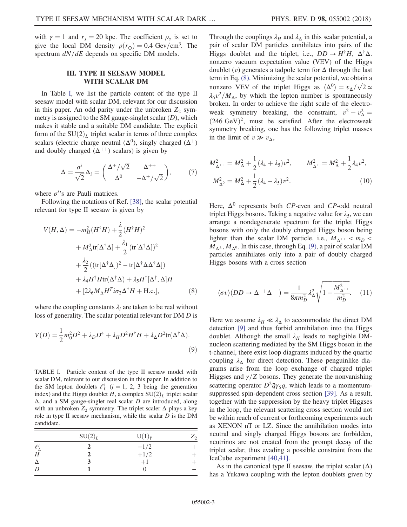with  $\gamma = 1$  and  $r_s = 20$  kpc. The coefficient  $\rho_s$  is set to give the local DM density  $\rho(r_\odot) = 0.4 \text{ Gev/cm}^3$ . The spectrum  $dN/dE$  depends on specific DM models.

#### III. TYPE II SEESAW MODEL WITH SCALAR DM

<span id="page-3-0"></span>In Table [I,](#page-3-1) we list the particle content of the type II seesaw model with scalar DM, relevant for our discussion in this paper. An odd parity under the unbroken  $Z_2$  symmetry is assigned to the SM gauge-singlet scalar  $(D)$ , which makes it stable and a suitable DM candidate. The explicit form of the  $SU(2)_L$  triplet scalar in terms of three complex scalars (electric charge neutral  $(\Delta^0)$ , singly charged  $(\Delta^+)$ and doubly charged  $(\Delta^{++})$  scalars) is given by

$$
\Delta = \frac{\sigma^i}{\sqrt{2}} \Delta_i = \begin{pmatrix} \Delta^+ / \sqrt{2} & \Delta^{++} \\ \Delta^0 & -\Delta^+ / \sqrt{2} \end{pmatrix}, \tag{7}
$$

where  $\sigma^{i}$ 's are Pauli matrices.

<span id="page-3-2"></span>Following the notations of Ref. [\[38\]](#page-9-13), the scalar potential relevant for type II seesaw is given by

$$
V(H, \Delta) = -m_H^2 (H^{\dagger} H) + \frac{\lambda}{2} (H^{\dagger} H)^2
$$
  
+  $M_{\Delta}^2 \text{tr}[\Delta^{\dagger} \Delta] + \frac{\lambda_1}{2} (\text{tr}[\Delta^{\dagger} \Delta])^2$   
+  $\frac{\lambda_2}{2} ((\text{tr}[\Delta^{\dagger} \Delta])^2 - \text{tr}[\Delta^{\dagger} \Delta \Delta^{\dagger} \Delta])$   
+  $\lambda_4 H^{\dagger} H \text{tr}(\Delta^{\dagger} \Delta) + \lambda_5 H^{\dagger}[\Delta^{\dagger}, \Delta] H$   
+  $[2\lambda_6 M_{\Delta} H^T i \sigma_2 \Delta^{\dagger} H + \text{H.c.}],$  (8)

<span id="page-3-3"></span>where the coupling constants  $\lambda_i$  are taken to be real without loss of generality. The scalar potential relevant for DM D is

$$
V(D) = \frac{1}{2}m_0^2 D^2 + \lambda_D D^4 + \lambda_H D^2 H^{\dagger} H + \lambda_{\Delta} D^2 \text{tr}(\Delta^{\dagger} \Delta).
$$
\n(9)

<span id="page-3-1"></span>TABLE I. Particle content of the type II seesaw model with scalar DM, relevant to our discussion in this paper. In addition to the SM lepton doublets  $\ell_L^i$  (i = 1, 2, 3 being the generation index) and the Higgs doublet H, a complex  $SU(2)_L$  triplet scalar  $\Delta$ , and a SM gauge-singlet real scalar D are introduced, along with an unbroken  $Z_2$  symmetry. The triplet scaler  $\Delta$  plays a key role in type II seesaw mechanism, while the scalar  $D$  is the DM candidate.

|            | SU(2) <sub>L</sub> | $U(1)_Y$             | $Z_2$ |
|------------|--------------------|----------------------|-------|
| $\ell_L^i$ |                    | $-1/2$<br>+1/2<br>+1 |       |
| H          |                    |                      |       |
| $\Delta$   |                    |                      |       |
| D          |                    | 0                    |       |

Through the couplings  $\lambda_H$  and  $\lambda_\Delta$  in this scalar potential, a pair of scalar DM particles annihilates into pairs of the Higgs doublet and the triplet, i.e.,  $DD \rightarrow H^{\dagger}H$ ,  $\Delta^{\dagger} \Delta$ . nonzero vacuum expectation value (VEV) of the Higgs doublet  $(v)$  generates a tadpole term for  $\Delta$  through the last term in Eq. [\(8\).](#page-3-2) Minimizing the scalar potential, we obtain a nonzero VEV of the triplet Higgs as  $\langle \Delta^0 \rangle = v_\Delta / \sqrt{2} \simeq$  $\lambda_6 v^2/M_\Delta$ , by which the lepton number is spontaneously broken. In order to achieve the right scale of the electroweak symmetry breaking, the constraint,  $v^2 + v^2$  =  $(246 \text{ GeV})^2$ , must be satisfied. After the electroweak symmetry breaking, one has the following triplet masses in the limit of  $v \gg v_{\Delta}$ ,

$$
M_{\Delta^{\pm \pm}}^2 = M_{\Delta}^2 + \frac{1}{2} (\lambda_4 + \lambda_5) v^2, \qquad M_{\Delta^{\pm}}^2 = M_{\Delta}^2 + \frac{1}{2} \lambda_4 v^2,
$$
  

$$
M_{\Delta^0}^2 = M_{\Delta}^2 + \frac{1}{2} (\lambda_4 - \lambda_5) v^2.
$$
 (10)

Here,  $\Delta^0$  represents both CP-even and CP-odd neutral triplet Higgs bosons. Taking a negative value for  $\lambda_5$ , we can arrange a nondegenerate spectrum for the triplet Higgs bosons with only the doubly charged Higgs boson being lighter than the scalar DM particle, i.e.,  $M_{\Delta^{\pm \pm}} < m_D <$  $\overline{M}_{\Delta^{\pm}}$ ,  $M_{\Delta^{0}}$ . In this case, through Eq. [\(9\)](#page-3-3), a pair of scalar DM particles annihilates only into a pair of doubly charged Higgs bosons with a cross section

$$
\langle \sigma v \rangle (DD \to \Delta^{++} \Delta^{--}) = \frac{1}{8\pi m_D^2} \lambda_\Delta^2 \sqrt{1 - \frac{M_{\Delta^{++}}^2}{m_D^2}}. \quad (11)
$$

Here we assume  $\lambda_H \ll \lambda_\Delta$  to accommodate the direct DM detection [\[9\]](#page-8-9) and thus forbid annihilation into the Higgs doublet. Although the small  $\lambda_H$  leads to negligible DMnucleon scattering mediated by the SM Higgs boson in the t-channel, there exist loop diagrams induced by the quartic coupling  $\lambda_{\Delta}$  for direct detection. These penguinlike diagrams arise from the loop exchange of charged triplet Higgses and  $\gamma$ /Z bosons. They generate the nonvanishing scattering operator  $D^2\bar{q}\gamma_5q$ , which leads to a momentumsuppressed spin-dependent cross section [\[39\].](#page-9-14) As a result, together with the suppression by the heavy triplet Higgses in the loop, the relevant scattering cross section would not be within reach of current or forthcoming experiments such as XENON nT or LZ. Since the annihilation modes into neutral and singly charged Higgs bosons are forbidden, neutrinos are not created from the prompt decay of the triplet scalar, thus evading a possible constraint from the IceCube experiment [\[40,41\].](#page-9-15)

<span id="page-3-4"></span>As in the canonical type II seesaw, the triplet scalar  $(\Delta)$ has a Yukawa coupling with the lepton doublets given by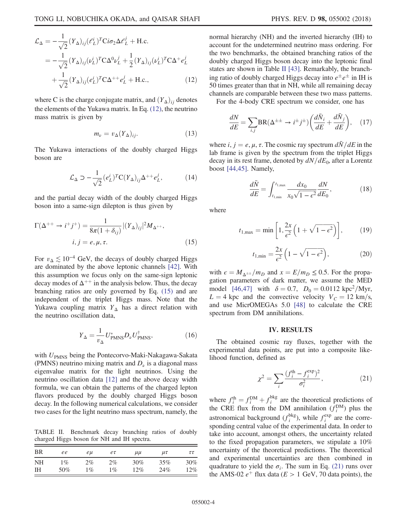$$
\mathcal{L}_{\Delta} = -\frac{1}{\sqrt{2}} (Y_{\Delta})_{ij} (\ell_L^i)^T \text{Ci} \sigma_2 \Delta \ell_L^j + \text{H.c.}
$$
  
= 
$$
-\frac{1}{\sqrt{2}} (Y_{\Delta})_{ij} (\nu_L^i)^T \text{C} \Delta^0 \nu_L^j + \frac{1}{2} (Y_{\Delta})_{ij} (\nu_L^i)^T \text{C} \Delta^+ e_L^j
$$

$$
+\frac{1}{\sqrt{2}} (Y_{\Delta})_{ij} (\ell_L^i)^T \text{C} \Delta^{++} e_L^j + \text{H.c.}, \qquad (12)
$$

where C is the charge conjugate matrix, and  $(Y_{\Delta})_{ij}$  denotes the elements of the Yukawa matrix. In Eq. [\(12\),](#page-3-4) the neutrino mass matrix is given by

$$
m_{\nu} = v_{\Delta}(Y_{\Delta})_{ij}.\tag{13}
$$

The Yukawa interactions of the doubly charged Higgs boson are

$$
\mathcal{L}_{\Delta} \supset -\frac{1}{\sqrt{2}} (e_L^i)^T C (Y_{\Delta})_{ij} \Delta^{++} e_L^j, \tag{14}
$$

<span id="page-4-1"></span>and the partial decay width of the doubly charged Higgs boson into a same-sign dilepton is thus given by

$$
\Gamma(\Delta^{++} \to i^+ j^+) = \frac{1}{8\pi (1 + \delta_{ij})} |(Y_\Delta)_{ij}|^2 M_{\Delta^{++}},
$$
  

$$
i, j = e, \mu, \tau.
$$
 (15)

For  $v_{\Delta} \lesssim 10^{-4}$  GeV, the decays of doubly charged Higgs are dominated by the above leptonic channels [\[42\]](#page-9-16). With this assumption we focus only on the same-sign leptonic decay modes of  $\Delta^{++}$  in the analysis below. Thus, the decay branching ratios are only governed by Eq. [\(15\)](#page-4-1) and are independent of the triplet Higgs mass. Note that the Yukawa coupling matrix  $Y_{\Delta}$  has a direct relation with the neutrino oscillation data,

$$
Y_{\Delta} = \frac{1}{v_{\Delta}} U_{\text{PMNS}}^* D_{\nu} U_{\text{PMNS}}^{\dagger},\tag{16}
$$

with  $U_{\text{PMNS}}$  being the Pontecorvo-Maki-Nakagawa-Sakata (PMNS) neutrino mixing matrix and  $D_{\nu}$  is a diagonal mass eigenvalue matrix for the light neutrinos. Using the neutrino oscillation data [\[12\]](#page-9-0) and the above decay width formula, we can obtain the patterns of the charged lepton flavors produced by the doubly charged Higgs boson decay. In the following numerical calculations, we consider two cases for the light neutrino mass spectrum, namely, the

<span id="page-4-2"></span>TABLE II. Benchmark decay branching ratios of doubly charged Higgs boson for NH and IH spectra.

| <b>BR</b> | ee    | eu    | $e\tau$ | $\mu\mu$ | $\mu\tau$ | $\tau\tau$ |
|-----------|-------|-------|---------|----------|-----------|------------|
| <b>NH</b> | $1\%$ | $2\%$ | $2\%$   | $30\%$   | 35%       | $30\%$     |
| ΙH        | 50%   | $1\%$ | $1\%$   | 12%      | 24%       | $12\%$     |

normal hierarchy (NH) and the inverted hierarchy (IH) to account for the undetermined neutrino mass ordering. For the two benchmarks, the obtained branching ratios of the doubly charged Higgs boson decay into the leptonic final states are shown in Table [II](#page-4-2) [\[43\]](#page-9-17). Remarkably, the branching ratio of doubly charged Higgs decay into  $e^{\pm}e^{\pm}$  in IH is 50 times greater than that in NH, while all remaining decay channels are comparable between these two mass patterns.

<span id="page-4-4"></span>For the 4-body CRE spectrum we consider, one has

$$
\frac{dN}{dE} = \sum_{i,j} BR(\Delta^{\pm \pm} \to i^{\pm} j^{\pm}) \left( \frac{d\bar{N}_i}{dE} + \frac{d\bar{N}_j}{dE} \right), \quad (17)
$$

where i,  $j = e, \mu, \tau$ . The cosmic ray spectrum  $d\bar{N}/dE$  in the lab frame is given by the spectrum from the triplet Higgs decay in its rest frame, denoted by  $dN/dE_0$ , after a Lorentz boost [\[44,45\].](#page-9-18) Namely,

$$
\frac{d\bar{N}}{dE} = \int_{t_{1,\min}}^{t_{1,\max}} \frac{dx_0}{x_0\sqrt{1 - \epsilon^2}} \frac{dN}{dE_0},
$$
(18)

where

$$
t_{1,\max} = \min\left[1, \frac{2x}{\epsilon^2} \left(1 + \sqrt{1 - \epsilon^2}\right)\right],\tag{19}
$$

$$
t_{1,\min} = \frac{2x}{\epsilon^2} \left( 1 - \sqrt{1 - \epsilon^2} \right),\tag{20}
$$

with  $\epsilon = M_{\Delta^{\pm \pm}}/m_D$  and  $x = E/m_D \le 0.5$ . For the propagation parameters of dark matter, we assume the MED model [\[46,47\]](#page-10-0) with  $\delta = 0.7$ ,  $D_0 = 0.0112$  kpc<sup>2</sup>/Myr,  $L = 4$  kpc and the convective velocity  $V_C = 12$  km/s, and use MicrOMEGAs 5.0 [\[48\]](#page-10-1) to calculate the CRE spectrum from DM annihilations.

#### IV. RESULTS

<span id="page-4-3"></span><span id="page-4-0"></span>The obtained cosmic ray fluxes, together with the experimental data points, are put into a composite likelihood function, defined as

$$
\chi^2 = \sum_{i} \frac{(f_i^{\text{th}} - f_i^{\text{exp}})^2}{\sigma_i^2},\tag{21}
$$

where  $f_i^{\text{th}} = f_i^{\text{DM}} + f_i^{\text{bkg}}$  are the theoretical predictions of the CRE flux from the DM annihilation  $(f_i^{DM})$  plus the astronomical background  $(f_i^{bkg})$ , while  $f_i^{exp}$  are the corresponding central value of the experimental data. In order to take into account, amongst others, the uncertainty related to the fixed propagation parameters, we stipulate a 10% uncertainty of the theoretical predictions. The theoretical and experimental uncertainties are then combined in quadrature to yield the  $\sigma_i$ . The sum in Eq. [\(21\)](#page-4-3) runs over the AMS-02  $e^+$  flux data ( $E > 1$  GeV, 70 data points), the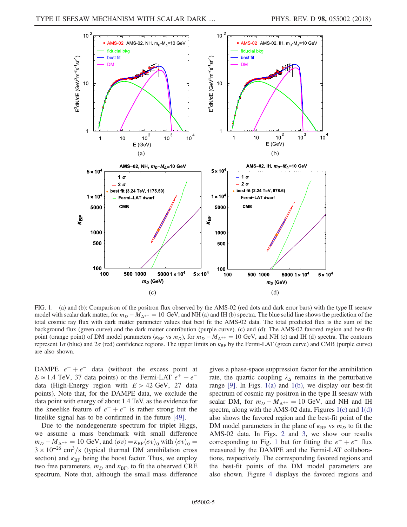<span id="page-5-0"></span>

FIG. 1. (a) and (b): Comparison of the positron flux observed by the AMS-02 (red dots and dark error bars) with the type II seesaw model with scalar dark matter, for  $m_D - M_{\Delta^{++}} = 10$  GeV, and NH (a) and IH (b) spectra. The blue solid line shows the prediction of the total cosmic ray flux with dark matter parameter values that best fit the AMS-02 data. The total predicted flux is the sum of the background flux (green curve) and the dark matter contribution (purple curve). (c) and (d): The AMS-02 favored region and best-fit point (orange point) of DM model parameters ( $\kappa_{BF}$  vs  $m_D$ ), for  $m_D - M_{\Delta^{++}} = 10$  GeV, and NH (c) and IH (d) spectra. The contours represent  $1\sigma$  (blue) and  $2\sigma$  (red) confidence regions. The upper limits on  $\kappa_{BF}$  by the Fermi-LAT (green curve) and CMB (purple curve) are also shown.

DAMPE  $e^+ + e^-$  data (without the excess point at  $E \approx 1.4$  TeV, 37 data points) or the Fermi-LAT  $e^+ + e^$ data (High-Energy region with  $E > 42$  GeV, 27 data points). Note that, for the DAMPE data, we exclude the data point with energy of about 1.4 TeV, as the evidence for the kneelike feature of  $e^+ + e^-$  is rather strong but the linelike signal has to be confirmed in the future [\[49\].](#page-10-2)

Due to the nondegenerate spectrum for triplet Higgs, we assume a mass benchmark with small difference  $m_D - M_{\Delta^{++}} = 10$  GeV, and  $\langle \sigma v \rangle = \kappa_{\rm BF} \langle \sigma v \rangle_0$  with  $\langle \sigma v \rangle_0 =$  $3 \times 10^{-26}$  cm<sup>3</sup>/s (typical thermal DM annihilation cross section) and  $\kappa_{\text{BE}}$  being the boost factor. Thus, we employ two free parameters,  $m_D$  and  $\kappa_{\text{BF}}$ , to fit the observed CRE spectrum. Note that, although the small mass difference gives a phase-space suppression factor for the annihilation rate, the quartic coupling  $\lambda_{\Lambda}$  remains in the perturbative range  $[9]$ . In Figs. [1\(a\)](#page-5-0) and [1\(b\),](#page-5-0) we display our best-fit spectrum of cosmic ray positron in the type II seesaw with scalar DM, for  $m_D - M_{\Lambda^{++}} = 10$  GeV, and NH and IH spectra, along with the AMS-02 data. Figures [1\(c\)](#page-5-0) and [1\(d\)](#page-5-0) also shows the favored region and the best-fit point of the DM model parameters in the plane of  $\kappa_{\text{BF}}$  vs  $m_D$  to fit the AMS-02 data. In Figs. [2](#page-6-0) and [3](#page-7-0), we show our results corresponding to Fig. [1](#page-5-0) but for fitting the  $e^+ + e^-$  flux measured by the DAMPE and the Fermi-LAT collaborations, respectively. The corresponding favored regions and the best-fit points of the DM model parameters are also shown. Figure [4](#page-7-1) displays the favored regions and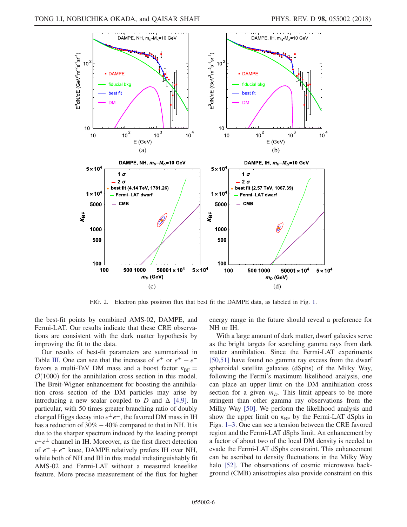<span id="page-6-0"></span>

FIG. 2. Electron plus positron flux that best fit the DAMPE data, as labeled in Fig. [1.](#page-5-0)

the best-fit points by combined AMS-02, DAMPE, and Fermi-LAT. Our results indicate that these CRE observations are consistent with the dark matter hypothesis by improving the fit to the data.

Our results of best-fit parameters are summarized in Table [III.](#page-8-10) One can see that the increase of  $e^+$  or  $e^+ + e^$ favors a multi-TeV DM mass and a boost factor  $\kappa_{\text{BF}} =$  $\mathcal{O}(1000)$  for the annihilation cross section in this model. The Breit-Wigner enhancement for boosting the annihilation cross section of the DM particles may arise by introducing a new scalar coupled to D and  $\Delta$  [\[4,9\].](#page-8-3) In particular, with 50 times greater branching ratio of doubly charged Higgs decay into  $e^{\pm}e^{\pm}$ , the favored DM mass in IH has a reduction of 30% − 40% compared to that in NH. It is due to the sharper spectrum induced by the leading prompt  $e^{\pm}e^{\pm}$  channel in IH. Moreover, as the first direct detection of  $e^+ + e^-$  knee, DAMPE relatively prefers IH over NH, while both of NH and IH in this model indistinguishably fit AMS-02 and Fermi-LAT without a measured kneelike feature. More precise measurement of the flux for higher energy range in the future should reveal a preference for NH or IH.

With a large amount of dark matter, dwarf galaxies serve as the bright targets for searching gamma rays from dark matter annihilation. Since the Fermi-LAT experiments [\[50,51\]](#page-10-3) have found no gamma ray excess from the dwarf spheroidal satellite galaxies (dSphs) of the Milky Way, following the Fermi's maximum likelihood analysis, one can place an upper limit on the DM annihilation cross section for a given  $m<sub>D</sub>$ . This limit appears to be more stringent than other gamma ray observations from the Milky Way [\[50\]](#page-10-3). We perform the likelihood analysis and show the upper limit on  $\kappa_{\text{BF}}$  by the Fermi-LAT dSphs in Figs. 1[–](#page-5-0)3. One can see a tension between the CRE favored region and the Fermi-LAT dSphs limit. An enhancement by a factor of about two of the local DM density is needed to evade the Fermi-LAT dSphs constraint. This enhancement can be ascribed to density fluctuations in the Milky Way halo [\[52\].](#page-10-4) The observations of cosmic microwave background (CMB) anisotropies also provide constraint on this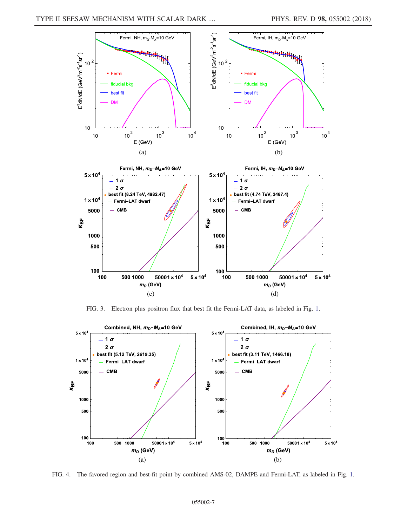<span id="page-7-0"></span>

FIG. 3. Electron plus positron flux that best fit the Fermi-LAT data, as labeled in Fig. [1.](#page-5-0)

<span id="page-7-1"></span>

FIG. 4. The favored region and best-fit point by combined AMS-02, DAMPE and Fermi-LAT, as labeled in Fig. [1](#page-5-0).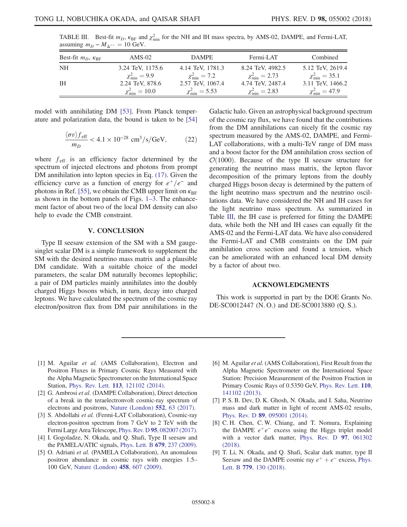| Best-fit $m_D$ , $\kappa_{\text{BF}}$ | $AMS-02$                                  | <b>DAMPE</b>                               | Fermi-LAT                                     | Combined                                      |
|---------------------------------------|-------------------------------------------|--------------------------------------------|-----------------------------------------------|-----------------------------------------------|
| <b>NH</b>                             | 3.24 TeV, 1175.6                          | 4.14 TeV, 1781.3                           | 8.24 TeV, 4982.5                              | 5.12 TeV, 2619.4                              |
| <b>IH</b>                             | $\chi^2_{\rm min}=9.9$<br>2.24 TeV, 878.6 | $\chi^2_{\rm min}=7.2$<br>2.57 TeV, 1067.4 | $\chi^2_{\rm min} = 2.73$<br>4.74 TeV, 2487.4 | $\chi^2_{\rm min} = 35.1$<br>3.11 TeV, 1466.2 |
|                                       | $\chi^2_{\rm min} = 10.0$                 | $\chi^2_{\rm min} = 5.53$                  | $\chi^2_{\rm min} = 2.83$                     | $\chi^2_{\rm min} = 47.9$                     |

<span id="page-8-10"></span>TABLE III. Best-fit  $m_D$ ,  $\kappa_{\text{BF}}$  and  $\chi^2_{\text{min}}$  for the NH and IH mass spectra, by AMS-02, DAMPE, and Fermi-LAT, assuming  $m_D - M_{\Delta^{++}} = 10$  GeV.

model with annihilating DM [\[53\]](#page-10-5). From Planck temperature and polarization data, the bound is taken to be [\[54\]](#page-10-6)

$$
\frac{\langle \sigma v \rangle f_{\text{eff}}}{m_D} < 4.1 \times 10^{-28} \text{ cm}^3/\text{s/GeV},\tag{22}
$$

where  $f_{\text{eff}}$  is an efficiency factor determined by the spectrum of injected electrons and photons from prompt DM annihilation into lepton species in Eq. [\(17\).](#page-4-4) Given the efficiency curve as a function of energy for  $e^+/e^-$  and photons in Ref. [\[55\],](#page-10-7) we obtain the CMB upper limit on  $\kappa_{\text{BE}}$ as shown in the bottom panels of Figs. 1–[3.](#page-5-0) The enhancement factor of about two of the local DM density can also help to evade the CMB constraint.

#### V. CONCLUSION

<span id="page-8-8"></span>Type II seesaw extension of the SM with a SM gaugesinglet scalar DM is a simple framework to supplement the SM with the desired neutrino mass matrix and a plausible DM candidate. With a suitable choice of the model parameters, the scalar DM naturally becomes leptophilic; a pair of DM particles mainly annihilates into the doubly charged Higgs bosons which, in turn, decay into charged leptons. We have calculated the spectrum of the cosmic ray electron/positron flux from DM pair annihilations in the Galactic halo. Given an astrophysical background spectrum of the cosmic ray flux, we have found that the contributions from the DM annihilations can nicely fit the cosmic ray spectrum measured by the AMS-02, DAMPE, and Fermi-LAT collaborations, with a multi-TeV range of DM mass and a boost factor for the DM annihilation cross section of  $\mathcal{O}(1000)$ . Because of the type II seesaw structure for generating the neutrino mass matrix, the lepton flavor decomposition of the primary leptons from the doubly charged Higgs boson decay is determined by the pattern of the light neutrino mass spectrum and the neutrino oscillations data. We have considered the NH and IH cases for the light neutrino mass spectrum. As summarized in Table [III,](#page-8-10) the IH case is preferred for fitting the DAMPE data, while both the NH and IH cases can equally fit the AMS-02 and the Fermi-LAT data. We have also considered the Fermi-LAT and CMB constraints on the DM pair annihilation cross section and found a tension, which can be ameliorated with an enhanced local DM density by a factor of about two.

#### ACKNOWLEDGMENTS

This work is supported in part by the DOE Grants No. DE-SC0012447 (N. O.) and DE-SC0013880 (Q. S.).

- <span id="page-8-0"></span>[1] M. Aguilar et al. (AMS Collaboration), Electron and Positron Fluxes in Primary Cosmic Rays Measured with the Alpha Magnetic Spectrometer on the International Space Station, Phys. Rev. Lett. 113[, 121102 \(2014\)](https://doi.org/10.1103/PhysRevLett.113.121102).
- <span id="page-8-1"></span>[2] G. Ambrosi et al. (DAMPE Collaboration), Direct detection of a break in the teraelectronvolt cosmic-ray spectrum of electrons and positrons, [Nature \(London\)](https://doi.org/10.1038/nature24475) 552, 63 (2017).
- <span id="page-8-2"></span>[3] S. Abdollahi et al. (Fermi-LAT Collaboration), Cosmic-ray electron-positron spectrum from 7 GeV to 2 TeV with the Fermi Large Area Telescope, Phys. Rev. D 95[, 082007 \(2017\).](https://doi.org/10.1103/PhysRevD.95.082007)
- <span id="page-8-3"></span>[4] I. Gogoladze, N. Okada, and Q. Shafi, Type II seesaw and the PAMELA/ATIC signals, [Phys. Lett. B](https://doi.org/10.1016/j.physletb.2009.07.035) 679, 237 (2009).
- <span id="page-8-4"></span>[5] O. Adriani et al. (PAMELA Collaboration), An anomalous positron abundance in cosmic rays with energies 1.5– 100 GeV, [Nature \(London\)](https://doi.org/10.1038/nature07942) 458, 607 (2009).
- <span id="page-8-5"></span>[6] M. Aguilar et al. (AMS Collaboration), First Result from the Alpha Magnetic Spectrometer on the International Space Station: Precision Measurement of the Positron Fraction in Primary Cosmic Rays of 0.5350 GeV, [Phys. Rev. Lett.](https://doi.org/10.1103/PhysRevLett.110.141102) 110, [141102 \(2013\).](https://doi.org/10.1103/PhysRevLett.110.141102)
- <span id="page-8-6"></span>[7] P. S. B. Dev, D. K. Ghosh, N. Okada, and I. Saha, Neutrino mass and dark matter in light of recent AMS-02 results, Phys. Rev. D 89[, 095001 \(2014\)](https://doi.org/10.1103/PhysRevD.89.095001).
- <span id="page-8-7"></span>[8] C. H. Chen, C. W. Chiang, and T. Nomura, Explaining the DAMPE  $e^+e^-$  excess using the Higgs triplet model with a vector dark matter, [Phys. Rev. D](https://doi.org/10.1103/PhysRevD.97.061302) 97, 061302 [\(2018\).](https://doi.org/10.1103/PhysRevD.97.061302)
- <span id="page-8-9"></span>[9] T. Li, N. Okada, and Q. Shafi, Scalar dark matter, type II Seesaw and the DAMPE cosmic ray  $e^+ + e^-$  excess, [Phys.](https://doi.org/10.1016/j.physletb.2018.02.006) Lett. B 779[, 130 \(2018\).](https://doi.org/10.1016/j.physletb.2018.02.006)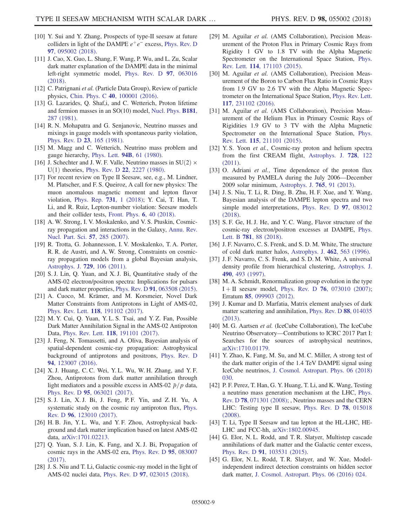- [10] Y. Sui and Y. Zhang, Prospects of type-II seesaw at future colliders in light of the DAMPE  $e^+e^-$  excess, [Phys. Rev. D](https://doi.org/10.1103/PhysRevD.97.095002) 97[, 095002 \(2018\).](https://doi.org/10.1103/PhysRevD.97.095002)
- [11] J. Cao, X. Guo, L. Shang, F. Wang, P. Wu, and L. Zu, Scalar dark matter explanation of the DAMPE data in the minimal left-right symmetric model, [Phys. Rev. D](https://doi.org/10.1103/PhysRevD.97.063016) 97, 063016 [\(2018\).](https://doi.org/10.1103/PhysRevD.97.063016)
- <span id="page-9-0"></span>[12] C. Patrignani et al. (Particle Data Group), Review of particle physics, Chin. Phys. C 40[, 100001 \(2016\).](https://doi.org/10.1088/1674-1137/40/10/100001)
- <span id="page-9-1"></span>[13] G. Lazarides, Q. Shaf,i, and C. Wetterich, Proton lifetime and fermion masses in an SO(10) model, [Nucl. Phys.](https://doi.org/10.1016/0550-3213(81)90354-0) B181, [287 \(1981\)](https://doi.org/10.1016/0550-3213(81)90354-0).
- [14] R. N. Mohapatra and G. Senjanovic, Neutrino masses and mixings in gauge models with spontaneous parity violation, [Phys. Rev. D](https://doi.org/10.1103/PhysRevD.23.165) 23, 165 (1981).
- [15] M. Magg and C. Wetterich, Neutrino mass problem and gauge hierarchy, Phys. Lett. 94B[, 61 \(1980\).](https://doi.org/10.1016/0370-2693(80)90825-4)
- [16] J. Schechter and J. W. F. Valle, Neutrino masses in  $SU(2) \times$  $U(1)$  theories, Phys. Rev. D 22[, 2227 \(1980\).](https://doi.org/10.1103/PhysRevD.22.2227)
- [17] For recent review on Type II Seesaw, see, e.g., M. Lindner, M. Platscher, and F. S. Queiroz, A call for new physics: The muon anomalous magnetic moment and lepton flavor violation, [Phys. Rep.](https://doi.org/10.1016/j.physrep.2017.12.001) 731, 1 (2018); Y. Cai, T. Han, T. Li, and R. Ruiz, Lepton-number violation: Seesaw models and their collider tests, [Front. Phys.](https://doi.org/10.3389/fphy.2018.00040) 6, 40 (2018).
- <span id="page-9-2"></span>[18] A. W. Strong, I. V. Moskalenko, and V. S. Ptuskin, Cosmicray propagation and interactions in the Galaxy, [Annu. Rev.](https://doi.org/10.1146/annurev.nucl.57.090506.123011) [Nucl. Part. Sci.](https://doi.org/10.1146/annurev.nucl.57.090506.123011) 57, 285 (2007).
- <span id="page-9-3"></span>[19] R. Trotta, G. Johannesson, I. V. Moskalenko, T. A. Porter, R. R. de Austri, and A. W. Strong, Constraints on cosmicray propagation models from a global Bayesian analysis, [Astrophys. J.](https://doi.org/10.1088/0004-637X/729/2/106) 729, 106 (2011).
- <span id="page-9-4"></span>[20] S. J. Lin, Q. Yuan, and X. J. Bi, Quantitative study of the AMS-02 electron/positron spectra: Implications for pulsars and dark matter properties, Phys. Rev. D 91[, 063508 \(2015\).](https://doi.org/10.1103/PhysRevD.91.063508)
- [21] A. Cuoco, M. Krämer, and M. Korsmeier, Novel Dark Matter Constraints from Antiprotons in Light of AMS-02, Phys. Rev. Lett. 118[, 191102 \(2017\).](https://doi.org/10.1103/PhysRevLett.118.191102)
- [22] M. Y. Cui, Q. Yuan, Y. L. S. Tsai, and Y. Z. Fan, Possible Dark Matter Annihilation Signal in the AMS-02 Antiproton Data, Phys. Rev. Lett. 118[, 191101 \(2017\)](https://doi.org/10.1103/PhysRevLett.118.191101).
- [23] J. Feng, N. Tomassetti, and A. Oliva, Bayesian analysis of spatial-dependent cosmic-ray propagation: Astrophysical background of antiprotons and positrons, [Phys. Rev. D](https://doi.org/10.1103/PhysRevD.94.123007) 94[, 123007 \(2016\).](https://doi.org/10.1103/PhysRevD.94.123007)
- [24] X. J. Huang, C. C. Wei, Y. L. Wu, W. H. Zhang, and Y. F. Zhou, Antiprotons from dark matter annihilation through light mediators and a possible excess in AMS-02  $\bar{p}/p$  data, Phys. Rev. D 95[, 063021 \(2017\)](https://doi.org/10.1103/PhysRevD.95.063021).
- [25] S. J. Lin, X. J. Bi, J. Feng, P. F. Yin, and Z. H. Yu, A systematic study on the cosmic ray antiproton flux, [Phys.](https://doi.org/10.1103/PhysRevD.96.123010) Rev. D 96[, 123010 \(2017\)](https://doi.org/10.1103/PhysRevD.96.123010).
- [26] H. B. Jin, Y. L. Wu, and Y. F. Zhou, Astrophysical background and dark matter implication based on latest AMS-02 data, [arXiv:1701.02213.](http://arXiv.org/abs/1701.02213)
- [27] Q. Yuan, S. J. Lin, K. Fang, and X. J. Bi, Propagation of cosmic rays in the AMS-02 era, [Phys. Rev. D](https://doi.org/10.1103/PhysRevD.95.083007) 95, 083007 [\(2017\).](https://doi.org/10.1103/PhysRevD.95.083007)
- [28] J. S. Niu and T. Li, Galactic cosmic-ray model in the light of AMS-02 nuclei data, Phys. Rev. D 97[, 023015 \(2018\).](https://doi.org/10.1103/PhysRevD.97.023015)
- <span id="page-9-5"></span>[29] M. Aguilar et al. (AMS Collaboration), Precision Measurement of the Proton Flux in Primary Cosmic Rays from Rigidity 1 GV to 1.8 TV with the Alpha Magnetic Spectrometer on the International Space Station, [Phys.](https://doi.org/10.1103/PhysRevLett.114.171103) Rev. Lett. 114[, 171103 \(2015\).](https://doi.org/10.1103/PhysRevLett.114.171103)
- <span id="page-9-6"></span>[30] M. Aguilar et al. (AMS Collaboration), Precision Measurement of the Boron to Carbon Flux Ratio in Cosmic Rays from 1.9 GV to 2.6 TV with the Alpha Magnetic Spectrometer on the International Space Station, [Phys. Rev. Lett.](https://doi.org/10.1103/PhysRevLett.117.231102) 117[, 231102 \(2016\).](https://doi.org/10.1103/PhysRevLett.117.231102)
- <span id="page-9-7"></span>[31] M. Aguilar et al. (AMS Collaboration), Precision Measurement of the Helium Flux in Primary Cosmic Rays of Rigidities 1.9 GV to 3 TV with the Alpha Magnetic Spectrometer on the International Space Station, [Phys.](https://doi.org/10.1103/PhysRevLett.115.211101) Rev. Lett. 115[, 211101 \(2015\).](https://doi.org/10.1103/PhysRevLett.115.211101)
- <span id="page-9-8"></span>[32] Y. S. Yoon et al., Cosmic-ray proton and helium spectra from the first CREAM flight, [Astrophys. J.](https://doi.org/10.1088/0004-637X/728/2/122) 728, 122 [\(2011\).](https://doi.org/10.1088/0004-637X/728/2/122)
- <span id="page-9-9"></span>[33] O. Adriani et al., Time dependence of the proton flux measured by PAMELA during the July 2006—December 2009 solar minimum, [Astrophys. J.](https://doi.org/10.1088/0004-637X/765/2/91) 765, 91 (2013).
- <span id="page-9-10"></span>[34] J. S. Niu, T. Li, R. Ding, B. Zhu, H. F. Xue, and Y. Wang, Bayesian analysis of the DAMPE lepton spectra and two simple model interpretations, [Phys. Rev. D](https://doi.org/10.1103/PhysRevD.97.083012) 97, 083012 [\(2018\).](https://doi.org/10.1103/PhysRevD.97.083012)
- <span id="page-9-11"></span>[35] S. F. Ge, H. J. He, and Y. C. Wang, Flavor structure of the cosmic-ray electron/positron excesses at DAMPE, [Phys.](https://doi.org/10.1016/j.physletb.2018.03.065) Lett. B 781[, 88 \(2018\)](https://doi.org/10.1016/j.physletb.2018.03.065).
- <span id="page-9-12"></span>[36] J. F. Navarro, C. S. Frenk, and S. D. M. White, The structure of cold dark matter halos, [Astrophys. J.](https://doi.org/10.1086/177173) 462, 563 (1996).
- [37] J. F. Navarro, C. S. Frenk, and S. D. M. White, A universal density profile from hierarchical clustering, [Astrophys. J.](https://doi.org/10.1086/304888) 490[, 493 \(1997\)](https://doi.org/10.1086/304888).
- <span id="page-9-13"></span>[38] M. A. Schmidt, Renormalization group evolution in the type  $I + II$  seesaw model, Phys. Rev. D 76[, 073010 \(2007\)](https://doi.org/10.1103/PhysRevD.76.073010); Erratum 85[, 099903 \(2012\)](https://doi.org/10.1103/PhysRevD.85.099903).
- <span id="page-9-14"></span>[39] J. Kumar and D. Marfatia, Matrix element analyses of dark matter scattering and annihilation, [Phys. Rev. D](https://doi.org/10.1103/PhysRevD.88.014035) 88, 014035 [\(2013\).](https://doi.org/10.1103/PhysRevD.88.014035)
- <span id="page-9-15"></span>[40] M. G. Aartsen et al. (IceCube Collaboration), The IceCube Neutrino Observatory—Contributions to ICRC 2017 Part I: Searches for the sources of astrophysical neutrinos, [arXiv:1710.01179.](http://arXiv.org/abs/1710.01179)
- [41] Y. Zhao, K. Fang, M. Su, and M. C. Miller, A strong test of the dark matter origin of the 1.4 TeV DAMPE signal using IceCube neutrinos, [J. Cosmol. Astropart. Phys. 06 \(2018\)](https://doi.org/10.1088/1475-7516/2018/06/030) [030.](https://doi.org/10.1088/1475-7516/2018/06/030)
- <span id="page-9-16"></span>[42] P. F. Perez, T. Han, G. Y. Huang, T. Li, and K. Wang, Testing a neutrino mass generation mechanism at the LHC, [Phys.](https://doi.org/10.1103/PhysRevD.78.071301) Rev. D 78[, 071301 \(2008\)](https://doi.org/10.1103/PhysRevD.78.071301); , Neutrino masses and the CERN LHC: Testing type II seesaw, [Phys. Rev. D](https://doi.org/10.1103/PhysRevD.78.015018) 78, 015018 [\(2008\).](https://doi.org/10.1103/PhysRevD.78.015018)
- <span id="page-9-18"></span><span id="page-9-17"></span>[43] T. Li, Type II Seesaw and tau lepton at the HL-LHC, HE-LHC and FCC-hh, [arXiv:1802.00945.](http://arXiv.org/abs/1802.00945)
- [44] G. Elor, N. L. Rodd, and T. R. Slatyer, Multistep cascade annihilations of dark matter and the Galactic center excess, Phys. Rev. D 91[, 103531 \(2015\)](https://doi.org/10.1103/PhysRevD.91.103531).
- [45] G. Elor, N. L. Rodd, T. R. Slatyer, and W. Xue, Modelindependent indirect detection constraints on hidden sector dark matter, [J. Cosmol. Astropart. Phys. 06 \(2016\) 024.](https://doi.org/10.1088/1475-7516/2016/06/024)